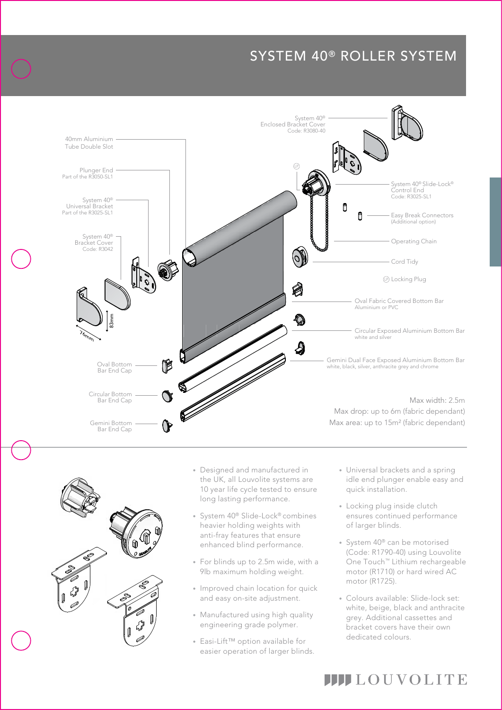# SYSTEM 40® ROLLER SYSTEM





ŕ

- the UK, all Louvolite systems are • Designed and manufactured in 10 year life cycle tested to ensure long lasting performance.
- System 40<sup>®</sup> Slide-Lock® combines heavier holding weights with anti-fray features that ensure enhanced blind performance.
- For blinds up to 2.5m wide, with a 9lb maximum holding weight.
- Improved chain location for quick and easy on-site adjustment.
- Manufactured using high quality engineering grade polymer.
- Easi-Lift™ option available for easier operation of larger blinds.

 idle end plunger enable easy and • Universal brackets and a spring quick installation.

the contract of the contract of the

- Locking plug inside clutch ensures continued performance of larger blinds.
- System 40® can be motorised (Code: R1790-40) using Louvolite One Touch™ Lithium rechargeable motor (R1710) or hard wired AC motor (R1725).
- Colours available: Slide-lock set: white, beige, black and anthracite grey. Additional cassettes and bracket covers have their own dedicated colours.

**IIII**LOUVOLITE